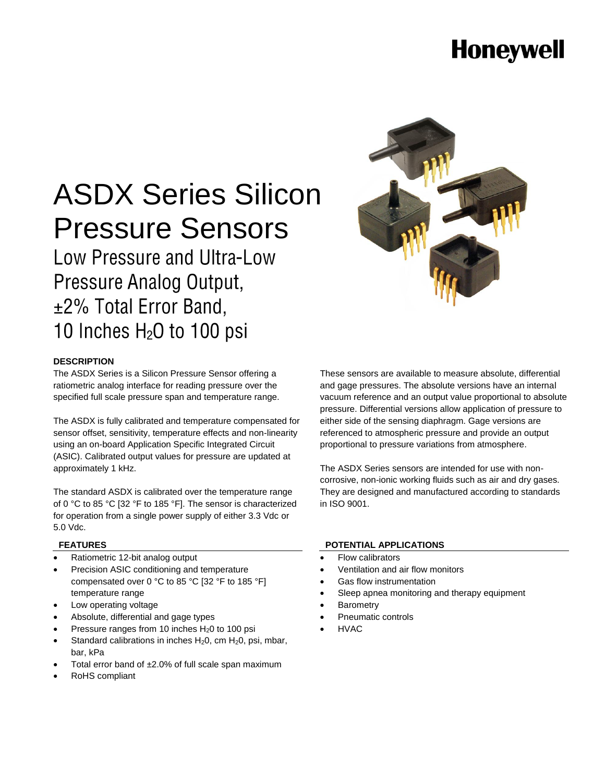## **Honeywell**

# ASDX Series Silicon Pressure Sensors

### **Low Pressure and Ultra-Low** Pressure Analog Output, ±2% Total Error Band, 10 Inches H<sub>2</sub>O to 100 psi



#### **DESCRIPTION**

The ASDX Series is a Silicon Pressure Sensor offering a ratiometric analog interface for reading pressure over the specified full scale pressure span and temperature range.

The ASDX is fully calibrated and temperature compensated for sensor offset, sensitivity, temperature effects and non-linearity using an on-board Application Specific Integrated Circuit (ASIC). Calibrated output values for pressure are updated at approximately 1 kHz.

The standard ASDX is calibrated over the temperature range of 0 °C to 85 °C [32 °F to 185 °F]. The sensor is characterized for operation from a single power supply of either 3.3 Vdc or 5.0 Vdc.

#### **FEATURES**

- Ratiometric 12-bit analog output
- Precision ASIC conditioning and temperature compensated over 0 °C to 85 °C [32 °F to 185 °F] temperature range
- Low operating voltage
- Absolute, differential and gage types
- Pressure ranges from 10 inches  $H<sub>2</sub>0$  to 100 psi
- Standard calibrations in inches  $H_2O$ , cm  $H_2O$ , psi, mbar, bar, kPa
- Total error band of ±2.0% of full scale span maximum
- RoHS compliant

These sensors are available to measure absolute, differential and gage pressures. The absolute versions have an internal vacuum reference and an output value proportional to absolute pressure. Differential versions allow application of pressure to either side of the sensing diaphragm. Gage versions are referenced to atmospheric pressure and provide an output proportional to pressure variations from atmosphere.

The ASDX Series sensors are intended for use with noncorrosive, non-ionic working fluids such as air and dry gases. They are designed and manufactured according to standards in ISO 9001.

#### **POTENTIAL APPLICATIONS**

- Flow calibrators
- Ventilation and air flow monitors
- Gas flow instrumentation
- Sleep apnea monitoring and therapy equipment
- **Barometry**
- Pneumatic controls
- HVAC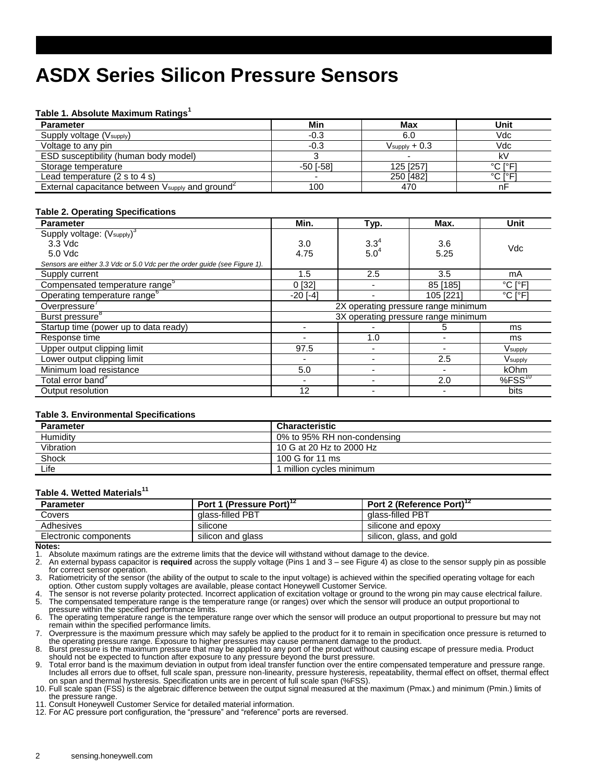### **ASDX Series Silicon Pressure Sensors**

#### **Table 1. Absolute Maximum Ratings<sup>1</sup>**

| <b>Parameter</b>                                             | Min       | Max                       | Unit    |
|--------------------------------------------------------------|-----------|---------------------------|---------|
| Supply voltage (V <sub>supply</sub> )                        | $-0.3$    | 6.0                       | Vdc     |
| Voltage to any pin                                           | $-0.3$    | $V_{\text{supply}} + 0.3$ | Vdc     |
| ESD susceptibility (human body model)                        |           |                           | k٧      |
| Storage temperature                                          | -50 [-58] | 125 [257]                 | °C I°F1 |
| Lead temperature $(2 s to 4 s)$                              |           | 250 [482]                 | °C I°F1 |
| External capacitance between Vsupply and ground <sup>-</sup> | 100       | 470                       | nF      |

#### **Table 2. Operating Specifications**

| <b>Parameter</b>                                                          | Min.                                | Typ.                          | Max.      | Unit                         |
|---------------------------------------------------------------------------|-------------------------------------|-------------------------------|-----------|------------------------------|
| Supply voltage: (V <sub>supply</sub> ) <sup>3</sup>                       |                                     |                               |           |                              |
| $3.3$ Vdc                                                                 | 3.0                                 | $3.3^{4}$<br>5.0 <sup>4</sup> | 3.6       | Vdc                          |
| 5.0 Vdc                                                                   | 4.75                                |                               | 5.25      |                              |
| Sensors are either 3.3 Vdc or 5.0 Vdc per the order guide (see Figure 1). |                                     |                               |           |                              |
| Supply current                                                            | 1.5                                 | 2.5                           | 3.5       | mA                           |
| Compensated temperature range <sup>o</sup>                                | 0 <sup>[32]</sup>                   |                               | 85 [185]  | $^{\circ}$ C [ $^{\circ}$ F] |
| Operating temperature range <sup>6</sup>                                  | $-20$ [ $-4$ ]                      |                               | 105 [221] | $^{\circ}$ C [ $^{\circ}$ F] |
| Overpressure'                                                             | 2X operating pressure range minimum |                               |           |                              |
| Burst pressure <sup>8</sup>                                               | 3X operating pressure range minimum |                               |           |                              |
| Startup time (power up to data ready)                                     | ms<br>5                             |                               |           |                              |
| Response time                                                             |                                     | 1.0                           |           | ms                           |
| Upper output clipping limit                                               | 97.5                                |                               |           | $V$ supply                   |
| Lower output clipping limit                                               |                                     |                               | 2.5       | Vsupply                      |
| Minimum load resistance                                                   | 5.0                                 |                               |           | <b>kOhm</b>                  |
| Total error band <sup>9</sup>                                             |                                     |                               | 2.0       | $%FSS^{10}$                  |
| Output resolution                                                         | 12                                  |                               |           | bits                         |

#### **Table 3. Environmental Specifications**

| <b>Parameter</b> | <b>Characteristic</b>       |
|------------------|-----------------------------|
| Humidity         | 0% to 95% RH non-condensing |
| Vibration        | 10 G at 20 Hz to 2000 Hz    |
| Shock            | 100 G for 11 ms             |
| Life             | million cycles minimum      |

#### **Table 4. Wetted Materials<sup>11</sup>**

| <b>Parameter</b>      | Port 1 (Pressure Port) <sup>12</sup> | Port 2 (Reference Port) <sup>12</sup> |
|-----------------------|--------------------------------------|---------------------------------------|
| Covers                | glass-filled PBT                     | glass-filled PBT                      |
| Adhesives             | silicone                             | silicone and epoxy                    |
| Electronic components | silicon and glass                    | silicon, glass, and gold              |

#### **Notes:**

1. Absolute maximum ratings are the extreme limits that the device will withstand without damage to the device.<br>2. An external bypass capacitor is **required** across the supply voltage (Pins 1 and  $3 -$  see Figure 4) as clo

2. An external bypass capacitor is **required** across the supply voltage (Pins 1 and 3 – see Figure 4) as close to the sensor supply pin as possible for correct sensor operation.

3. Ratiometricity of the sensor (the ability of the output to scale to the input voltage) is achieved within the specified operating voltage for each option. Other custom supply voltages are available, please contact Honeywell Customer Service.

The sensor is not reverse polarity protected. Incorrect application of excitation voltage or ground to the wrong pin may cause electrical failure. 5. The compensated temperature range is the temperature range (or ranges) over which the sensor will produce an output proportional to pressure within the specified performance limits.

6. The operating temperature range is the temperature range over which the sensor will produce an output proportional to pressure but may not remain within the specified performance limits.

7. Overpressure is the maximum pressure which may safely be applied to the product for it to remain in specification once pressure is returned to the operating pressure range. Exposure to higher pressures may cause permanent damage to the product.

8. Burst pressure is the maximum pressure that may be applied to any port of the product without causing escape of pressure media. Product

should not be expected to function after exposure to any pressure beyond the burst pressure.<br>9. Total error band is the maximum deviation in output from ideal transfer function over the entire compensated temperature and p Includes all errors due to offset, full scale span, pressure non-linearity, pressure hysteresis, repeatability, thermal effect on offset, thermal effect on span and thermal hysteresis. Specification units are in percent of full scale span (%FSS).

10. Full scale span (FSS) is the algebraic difference between the output signal measured at the maximum (Pmax.) and minimum (Pmin.) limits of the pressure range.

11. Consult Honeywell Customer Service for detailed material information.

12. For AC pressure port configuration, the "pressure" and "reference" ports are reversed.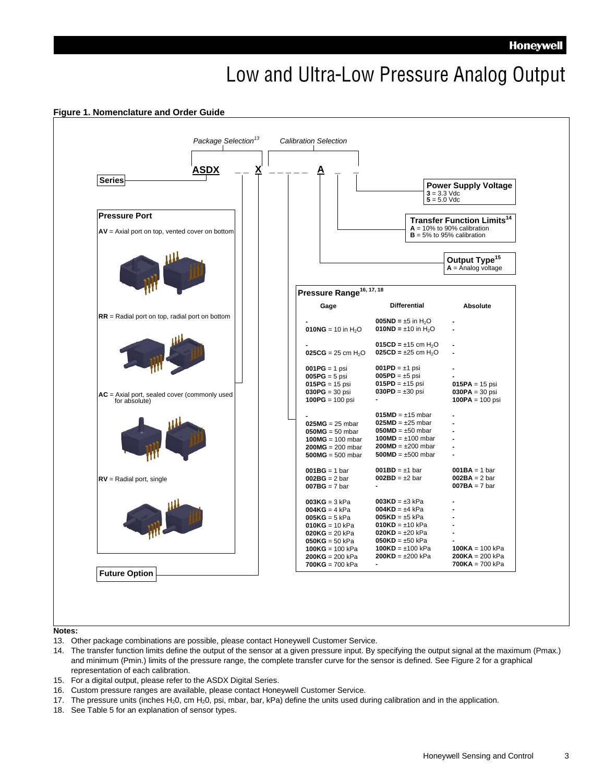## Low and Ultra-Low Pressure Analog Output



#### **Figure 1. Nomenclature and Order Guide**

#### **Notes:**

- 13. Other package combinations are possible, please contact Honeywell Customer Service.
- 14. The transfer function limits define the output of the sensor at a given pressure input. By specifying the output signal at the maximum (Pmax.) and minimum (Pmin.) limits of the pressure range, the complete transfer curve for the sensor is defined. See Figure 2 for a graphical representation of each calibration.
- 15. For a digital output, please refer to the ASDX Digital Series.
- 16. Custom pressure ranges are available, please contact Honeywell Customer Service.
- 17. The pressure units (inches H<sub>2</sub>0, cm H<sub>2</sub>0, psi, mbar, bar, kPa) define the units used during calibration and in the application.
- 18. See Table 5 for an explanation of sensor types.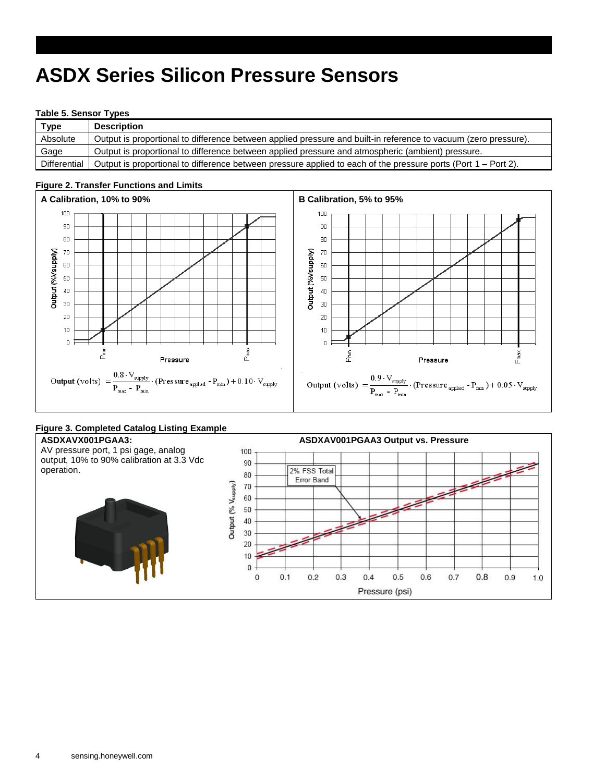### **ASDX Series Silicon Pressure Sensors**

#### **Table 5. Sensor Types**

| Type         | <b>Description</b>                                                                                              |
|--------------|-----------------------------------------------------------------------------------------------------------------|
| Absolute     | Output is proportional to difference between applied pressure and built-in reference to vacuum (zero pressure). |
| Gage         | Output is proportional to difference between applied pressure and atmospheric (ambient) pressure.               |
| Differential | Output is proportional to difference between pressure applied to each of the pressure ports (Port 1 – Port 2).  |

#### A Calibration, 10% to 90% **B** Calibration, 5% to 95% 100 100  $90$ 90 80 80 Output (%Vsupply) 70  $70\,$ Output (%Vsupply) 60  $60\,$  $50\,$  $50\,$  $40\,$  $40\,$  $30$  $30\,$  $20\,$  $20<sub>1</sub>$  $10$  $10<sub>1</sub>$  $\mathbf{0}$ in t م<br>م P<sub>max</sub>  $\tilde{\bar{\epsilon}}$  $P_{\text{max}}$ Pressure Pressure  $\text{Output (volts) } = \frac{0.8 \cdot \text{V}_{\text{supply}}}{\text{P}_{\text{max}} - \text{P}_{\text{min}}}. \text{ (Pressure } \text{applied} - \text{P}_{\text{min}}) + 0.10 \cdot \text{V}_{\text{supply}}$  $\text{Output (volts)} \; = \frac{0.9 \cdot \text{V}_{\text{supply}}}{\text{P}_{\text{max}} - \text{P}_{\text{min}}}. \left(\text{Pressure}_{\text{applied}} - \text{P}_{\text{min}}\right) + 0.05 \cdot \text{V}_{\text{apply}}$

#### **Figure 2. Transfer Functions and Limits**

#### **Figure 3. Completed Catalog Listing Example**

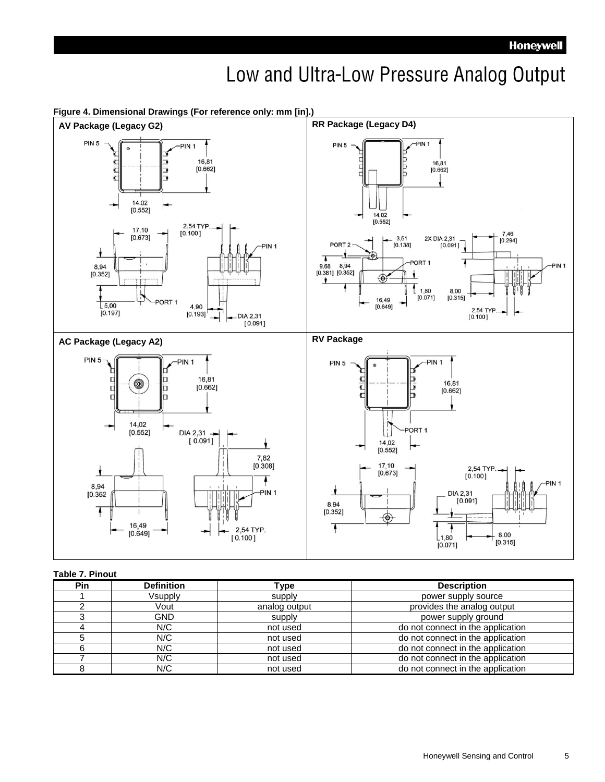### Low and Ultra-Low Pressure Analog Output



#### **Figure 4. Dimensional Drawings (For reference only: mm [in].)**

#### **Table 7. Pinout**

| <b>Pin</b> | <b>Definition</b> | Type          | <b>Description</b>                |
|------------|-------------------|---------------|-----------------------------------|
|            | Vsupply           | supply        | power supply source               |
|            | Vout              | analog output | provides the analog output        |
|            | GND.              | supply        | power supply ground               |
|            | N/C               | not used      | do not connect in the application |
|            | N/C               | not used      | do not connect in the application |
|            | N/C               | not used      | do not connect in the application |
|            | N/C               | not used      | do not connect in the application |
|            | N/C               | not used      | do not connect in the application |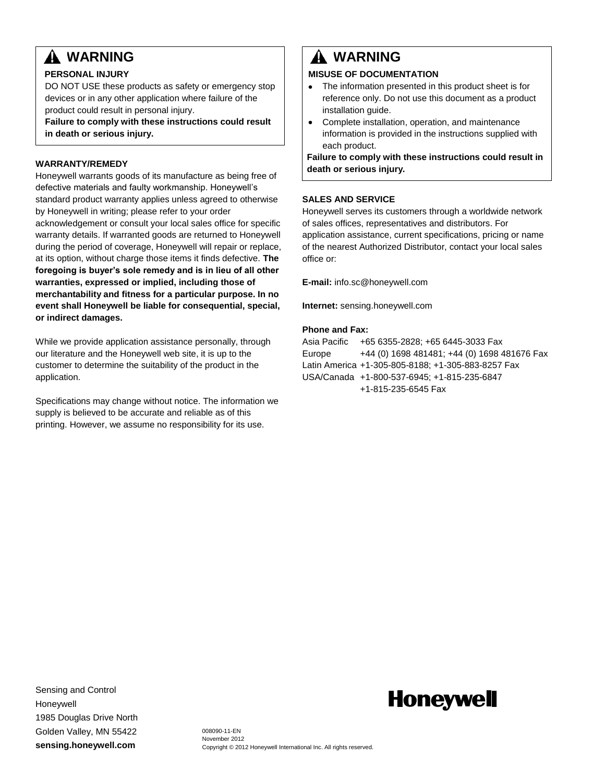### **WARNING**

#### **PERSONAL INJURY**

DO NOT USE these products as safety or emergency stop devices or in any other application where failure of the product could result in personal injury.

**Failure to comply with these instructions could result in death or serious injury.**

#### **WARRANTY/REMEDY**

Honeywell warrants goods of its manufacture as being free of defective materials and faulty workmanship. Honeywell's standard product warranty applies unless agreed to otherwise by Honeywell in writing; please refer to your order acknowledgement or consult your local sales office for specific warranty details. If warranted goods are returned to Honeywell during the period of coverage, Honeywell will repair or replace, at its option, without charge those items it finds defective. **The foregoing is buyer's sole remedy and is in lieu of all other warranties, expressed or implied, including those of merchantability and fitness for a particular purpose. In no event shall Honeywell be liable for consequential, special, or indirect damages.**

While we provide application assistance personally, through our literature and the Honeywell web site, it is up to the customer to determine the suitability of the product in the application.

Specifications may change without notice. The information we supply is believed to be accurate and reliable as of this printing. However, we assume no responsibility for its use.

### **WARNING**

#### **MISUSE OF DOCUMENTATION**

- The information presented in this product sheet is for  $\bullet$ reference only. Do not use this document as a product installation guide.
- $\bullet$ Complete installation, operation, and maintenance information is provided in the instructions supplied with each product.

**Failure to comply with these instructions could result in death or serious injury.**

#### **SALES AND SERVICE**

Honeywell serves its customers through a worldwide network of sales offices, representatives and distributors. For application assistance, current specifications, pricing or name of the nearest Authorized Distributor, contact your local sales office or:

**E-mail:** info.sc@honeywell.com

**Internet:** sensing.honeywell.com

#### **Phone and Fax:**

Asia Pacific +65 6355-2828; +65 6445-3033 Fax Europe +44 (0) 1698 481481; +44 (0) 1698 481676 Fax Latin America +1-305-805-8188; +1-305-883-8257 Fax USA/Canada +1-800-537-6945; +1-815-235-6847 +1-815-235-6545 Fax

Sensing and Control **Honeywell** 1985 Douglas Drive North Golden Valley, MN 55422 **sensing.honeywell.com**

## **Honeywell**

008090-11-EN November 2012 Copyright © 2012 Honeywell International Inc. All rights reserved.